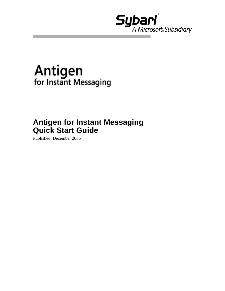

# **Antigen**<br>for Instant Messaging

### **Antigen for Instant Messaging Quick Start Guide**

Published: December 2005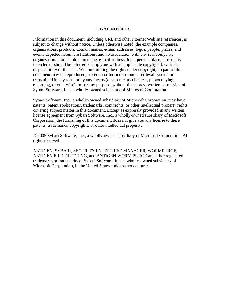#### **LEGAL NOTICES**

Information in this document, including URL and other Internet Web site references, is subject to change without notice. Unless otherwise noted, the example companies, organizations, products, domain names, e-mail addresses, logos, people, places, and events depicted herein are fictitious, and no association with any real company, organization, product, domain name, e-mail address, logo, person, place, or event is intended or should be inferred. Complying with all applicable copyright laws is the responsibility of the user. Without limiting the rights under copyright, no part of this document may be reproduced, stored in or introduced into a retrieval system, or transmitted in any form or by any means (electronic, mechanical, photocopying, recording, or otherwise), or for any purpose, without the express written permission of Sybari Software, Inc., a wholly-owned subsidiary of Microsoft Corporation.

Sybari Software, Inc., a wholly-owned subsidiary of Microsoft Corporation, may have patents, patent applications, trademarks, copyrights, or other intellectual property rights covering subject matter in this document. Except as expressly provided in any written license agreement from Sybari Software, Inc., a wholly-owned subsidiary of Microsoft Corporation, the furnishing of this document does not give you any license to these patents, trademarks, copyrights, or other intellectual property.

© 2005 Sybari Software, Inc., a wholly-owned subsidiary of Microsoft Corporation. All rights reserved.

ANTIGEN, SYBARI, SECURITY ENTERPRISE MANAGER, WORMPURGE, ANTIGEN FILE FILTERING, and ANTIGEN WORM PURGE are either registered trademarks or trademarks of Sybari Software, Inc., a wholly-owned subsidiary of Microsoft Corporation, in the United States and/or other countries.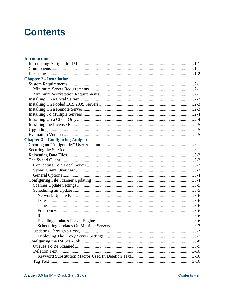# **Contents**

| <b>Introduction</b>                    |  |
|----------------------------------------|--|
|                                        |  |
|                                        |  |
|                                        |  |
| <b>Chapter 2 - Installation</b>        |  |
|                                        |  |
|                                        |  |
|                                        |  |
|                                        |  |
|                                        |  |
|                                        |  |
|                                        |  |
|                                        |  |
|                                        |  |
|                                        |  |
|                                        |  |
| <b>Chapter 3 – Configuring Antigen</b> |  |
|                                        |  |
|                                        |  |
|                                        |  |
|                                        |  |
|                                        |  |
|                                        |  |
|                                        |  |
|                                        |  |
|                                        |  |
|                                        |  |
|                                        |  |
|                                        |  |
|                                        |  |
|                                        |  |
|                                        |  |
|                                        |  |
|                                        |  |
|                                        |  |
|                                        |  |
|                                        |  |
|                                        |  |
|                                        |  |
|                                        |  |
|                                        |  |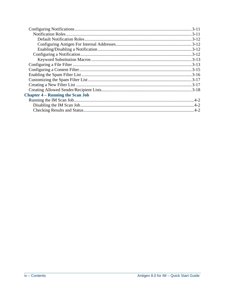| <b>Chapter 4 – Running the Scan Job</b> |  |
|-----------------------------------------|--|
|                                         |  |
|                                         |  |
|                                         |  |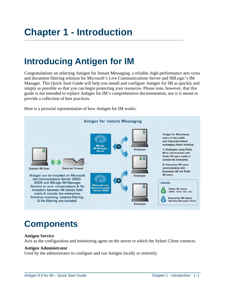### <span id="page-4-0"></span>**Introducing Antigen for IM**

Congratulations on selecting Antigen for Instant Messaging, a reliable, high-performance anti-virus and document filtering solution for Microsoft's Live Communications Server and IMLogic's IM Manager. This Quick Start Guide will help you install and configure Antigen for IM as quickly and simply as possible so that you can begin protecting your resources. Please note, however, that this guide is not intended to replace Antigen for IM's comprehensive documentation, nor is it meant to provide a collection of best practices.





### **Components**

#### **Antigen Service**

Acts as the configuration and monitoring agent on the server to which the Sybari Client connects.

#### **Antigen Administrator**

Used by the administrator to configure and run Antigen locally or remotely.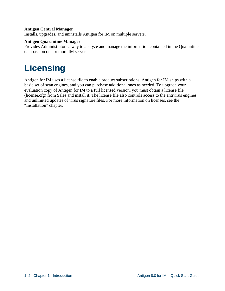#### <span id="page-5-0"></span>**Antigen Central Manager**

Installs, upgrades, and uninstalls Antigen for IM on multiple servers.

#### **Antigen Quarantine Manager**

Provides Administrators a way to analyze and manage the information contained in the Quarantine database on one or more IM servers.

# **Licensing**

Antigen for IM uses a license file to enable product subscriptions. Antigen for IM ships with a basic set of scan engines, and you can purchase additional ones as needed. To upgrade your evaluation copy of Antigen for IM to a full licensed version, you must obtain a license file (license.cfg) from Sales and install it. The license file also controls access to the antivirus engines and unlimited updates of virus signature files. For more information on licenses, see the "Installation" chapter.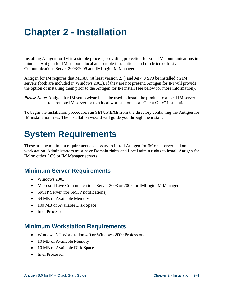# <span id="page-6-0"></span>**Chapter 2 - Installation**

Installing Antigen for IM is a simple process, providing protection for your IM communications in minutes. Antigen for IM supports local and remote installations on both Microsoft Live Communications Server 2003/2005 and IMLogic IM Manager.

Antigen for IM requires that MDAC (at least version 2.7) and Jet 4.0 SP3 be installed on IM servers (both are included in Windows 2003). If they are not present, Antigen for IM will provide the option of installing them prior to the Antigen for IM install (see below for more information).

To begin the installation procedure, run SETUP.EXE from the directory containing the Antigen for IM installation files. The installation wizard will guide you through the install.

## **System Requirements**

These are the minimum requirements necessary to install Antigen for IM on a server and on a workstation. Administrators must have Domain rights and Local admin rights to install Antigen for IM on either LCS or IM Manager servers.

### **Minimum Server Requirements**

- Windows 2003
- Microsoft Live Communications Server 2003 or 2005, or IMLogic IM Manager
- SMTP Server (for SMTP notifications)
- 64 MB of Available Memory
- 100 MB of Available Disk Space
- Intel Processor

### **Minimum Workstation Requirements**

- Windows NT Workstation 4.0 or Windows 2000 Professional
- 10 MB of Available Memory
- 10 MB of Available Disk Space
- Intel Processor

*Please Note:* Antigen for IM setup wizards can be used to install the product to a local IM server, to a remote IM server, or to a local workstation, as a "Client Only" installation.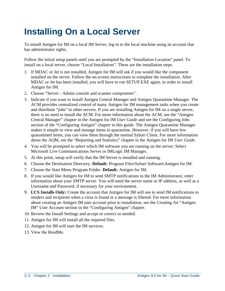# <span id="page-7-0"></span>**Installing On a Local Server**

To install Antigen for IM on a local IM Server, log in to the local machine using an account that has administrator rights.

Follow the initial setup panels until you are prompted by the "Installation Location" panel. To install on a local server, choose "Local Installation". These are the installation steps.

- 1. If MDAC or Jet is not installed, Antigen for IM will ask if you would like the component installed on the server. Follow the on-screen instructions to complete the installation. After MDAC or Jet has been installed, you will have to run SETUP.EXE again, in order to install Antigen for IM.
- 2. Choose "Server Admin console and scanner components".
- 3. Indicate if you want to install Antigen Central Manager and Antigen Quarantine Manager. The ACM provides centralized control of many Antigen for IM management tasks when you create and distribute "jobs" to other servers. If you are installing Antigen for IM on a single server, there is no need to install the ACM. For more information about the ACM, see the "Antigen Central Manager" chapter in the Antigen for IM *User Guide* and see the Configuring Jobs section of the "Configuring Antigen" chapter in this guide. The Antigen Quarantine Manager makes it simple to view and manage items in quarantine. However, if you will have few quarantined items, you can view them through the normal Sybari Client. For more information about the AQM, see the "Reporting and Statistics" chapter in the Antigen for IM *User Guide*.
- 4. You will be prompted to select which IM software you are running on the server: Select Microsoft Live Communications Server or IMLogic IM Manager.
- 5. At this point, setup will verify that the IM Server is installed and running.
- 6. Choose the Destination Directory. **Default:** Program Files\Sybari Software\Antigen for IM.
- 7. Choose the Start Menu Program Folder. **Default:** Antigen for IM.
- 8. If you would like Antigen for IM to send SMTP notifications to the IM Administrator, enter information about your SMTP server. You will need the server name or IP address, as well as a Username and Password, if necessary for your environment.
- 9. **LCS Installs Only:** Create the account that Antigen for IM will use to send IM notifications to senders and recipients when a virus is found or a message is filtered. For more information about creating an Antigen IM user account prior to installation, see the Creating An "Antigen IM" User Account section in the "Configuring Antigen" chapter.
- 10. Review the Install Settings and accept or correct as needed.
- 11. Antigen for IM will install all the required files.
- 12. Antigen for IM will start the IM services.
- 13. View the ReadMe.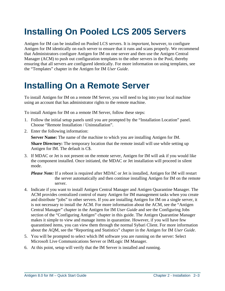# <span id="page-8-0"></span>**Installing On Pooled LCS 2005 Servers**

Antigen for IM can be installed on Pooled LCS servers. It is *important*, however, to configure Antigen for IM identically on each server to ensure that it runs and scans properly. We recommend that Administrators configure Antigen for IM on one server and then use the Antigen Central Manager (ACM) to push out configuration templates to the other servers in the Pool, thereby ensuring that all servers are configured identically. For more information on using templates, see the "Templates" chapter in the Antigen for IM *User Guide*.

### **Installing On a Remote Server**

To install Antigen for IM on a remote IM Server, you will need to log into your local machine using an account that has administrator rights to the remote machine.

To install Antigen for IM on a remote IM Server, follow these steps:

- 1. Follow the initial setup panels until you are prompted by the "Installation Location" panel. Choose "Remote Installation / Uninstallation".
- 2. Enter the following information:

**Server Name:** The name of the machine to which you are installing Antigen for IM.  **Share Directory:** The temporary location that the remote install will use while setting up Antigen for IM. The default is C\$.

3. If MDAC or Jet is not present on the remote server, Antigen for IM will ask if you would like the component installed. Once initiated, the MDAC or Jet installation will proceed in silent mode.

*Please Note:* If a reboot is required after MDAC or Jet is installed, Antigen for IM will restart the server automatically and then continue installing Antigen for IM on the remote server.

- 4. Indicate if you want to install Antigen Central Manager and Antigen Quarantine Manager. The ACM provides centralized control of many Antigen for IM management tasks when you create and distribute "jobs" to other servers. If you are installing Antigen for IM on a single server, it is not necessary to install the ACM. For more information about the ACM, see the "Antigen Central Manager" chapter in the Antigen for IM *User Guide* and see the Configuring Jobs section of the "Configuring Antigen" chapter in this guide. The Antigen Quarantine Manager makes it simple to view and manage items in quarantine. However, if you will have few quarantined items, you can view them through the normal Sybari Client. For more information about the AQM, see the "Reporting and Statistics" chapter in the Antigen for IM *User Guide*.
- 5. You will be prompted to select which IM software you are running on the server: Select Microsoft Live Communications Server or IMLogic IM Manager.
- 6. At this point, setup will verify that the IM Server is installed and running.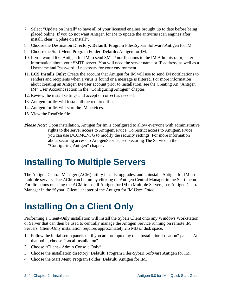- <span id="page-9-0"></span>7. Select "Update on Install" to have all of your licensed engines brought up to date before being placed online. If you do not want Antigen for IM to update the antivirus scan engines after install, clear "Update on Install".
- 8. Choose the Destination Directory. **Default:** Program Files\Sybari Software\Antigen for IM.
- 9. Choose the Start Menu Program Folder. **Default:** Antigen for IM.
- 10. If you would like Antigen for IM to send SMTP notifications to the IM Administrator, enter information about your SMTP server. You will need the server name or IP address, as well as a Username and Password, if necessary for your environment.
- 11. **LCS Installs Only:** Create the account that Antigen for IM will use to send IM notifications to senders and recipients when a virus is found or a message is filtered. For more information about creating an Antigen IM user account prior to installation, see the Creating An "Antigen IM" User Account section in the "Configuring Antigen" chapter.
- 12. Review the install settings and accept or correct as needed.
- 13. Antigen for IM will install all the required files.
- 14. Antigen for IM will start the IM services.
- 15. View the ReadMe file.
- *Please Note:* Upon installation, Antigen for Im is configured to allow everyone with administrative rights to the server access to AntigenService. To restrict access to AntigenService, you can use DCOMCNFG to modify the security settings. For more information about securing access to AntigenService, see Securing The Service in the "Configuring Antigen" chapter.

### **Installing To Multiple Servers**

The Antigen Central Manager (ACM) utility installs, upgrades, and uninstalls Antigen for IM on multiple servers. The ACM can be run by clicking on Antigen Central Manager in the Start menu. For directions on using the ACM to install Antigen for IM to Multiple Servers, see Antigen Central Manager in the "Sybari Client" chapter of the Antigen for IM *User Guide*.

# **Installing On a Client Only**

Performing a Client-Only installation will install the Sybari Client onto any Windows Workstation or Server that can then be used to centrally manage the Antigen Service running on remote IM Servers. Client-Only installation requires approximately 2.5 MB of disk space.

- 1. Follow the initial setup panels until you are prompted by the "Installation Location" panel. At that point, choose "Local Installation".
- 2. Choose "Client Admin Console Only".
- 3. Choose the installation directory. **Default**: Program Files\Sybari Software\Antigen for IM.
- 4. Choose the Start Menu Program Folder. **Default**: Antigen for IM.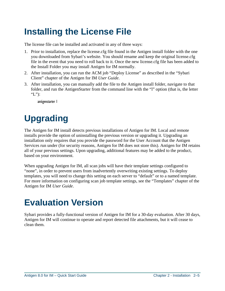# <span id="page-10-0"></span>**Installing the License File**

The license file can be installed and activated in any of three ways:

- 1. Prior to installation, replace the license.cfg file found in the Antigen install folder with the one you downloaded from Sybari's website. You should rename and keep the original license.cfg file in the event that you need to roll back to it. Once the new license.cfg file has been added to the Install Folder you may install Antigen for IM normally.
- 2. After installation, you can run the ACM job "Deploy License" as described in the "Sybari Client" chapter of the Antigen for IM *User Guide*.
- 3. After installation, you can manually add the file to the Antigen install folder, navigate to that folder, and run the AntigenStarter from the command line with the "l" option (that is, the letter "L"):

antigenstarter l

# **Upgrading**

The Antigen for IM install detects previous installations of Antigen for IM. Local and remote installs provide the option of uninstalling the previous version or upgrading it. Upgrading an installation only requires that you provide the password for the User Account that the Antigen Services run under (for security reasons, Antigen for IM does not store this). Antigen for IM retains all of your previous settings. Upon upgrading, additional features may be added to the product, based on your environment.

When upgrading Antigen for IM, all scan jobs will have their template settings configured to "none", in order to prevent users from inadvertently overwriting existing settings. To deploy templates, you will need to change this setting on each server to "default" or to a named template. For more information on configuring scan job template settings, see the "Templates" chapter of the Antigen for IM *User Guide*.

### **Evaluation Version**

Sybari provides a fully-functional version of Antigen for IM for a 30-day evaluation. After 30 days, Antigen for IM will continue to operate and report detected file attachments, but it will cease to clean them.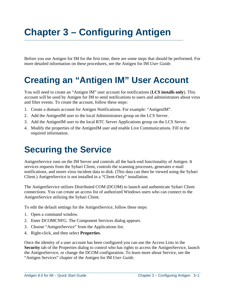# <span id="page-12-0"></span>**Chapter 3 – Configuring Antigen**

Before you use Antigen for IM for the first time, there are some steps that should be performed. For more detailed information on these procedures, see the Antigen for IM *User Guide*.

### **Creating an "Antigen IM" User Account**

You will need to create an "Antigen IM" user account for notifications (**LCS installs only**). This account will be used by Antigen for IM to send notifications to users and administrators about virus and filter events. To create the account, follow these steps:

- 1. Create a domain account for Antigen Notifications. For example: "AntigenIM".
- 2. Add the AntigenIM user to the local Administrators group on the LCS Server.
- 3. Add the AntigenIM user to the local RTC Server Applications group on the LCS Server.
- 4. Modify the properties of the AntigenIM user and enable Live Communications. Fill in the required information.

### **Securing the Service**

AntigenService runs on the IM Server and controls all the back-end functionality of Antigen. It services requests from the Sybari Client, controls the scanning processes, generates e-mail notifications, and stores virus incident data to disk. (This data can then be viewed using the Sybari Client.) AntigenService is not installed in a "Client-Only" installation.

The AntigenService utilizes Distributed COM (DCOM) to launch and authenticate Sybari Client connections. You can create an access list of authorized Windows users who can connect to the AntigenService utilizing the Sybari Client.

To edit the default settings for the AntigenService, follow these steps:

- 1. Open a command window.
- 2. Enter DCOMCNFG. The Component Services dialog appears.
- 3. Choose "AntigenService" from the Applications list.
- 4. Right-click, and then select **Properties**.

Once the identity of a user account has been configured you can use the Access Lists in the **Security** tab of the Properties dialog to control who has rights to access the AntigenService, launch the AntigenService, or change the DCOM configuration. To learn more about Service, see the "Antigen Services" chapter of the Antigen for IM *User Guide*.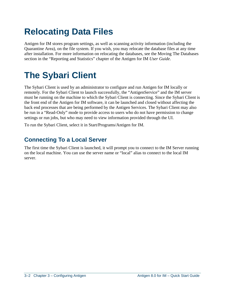# <span id="page-13-0"></span>**Relocating Data Files**

Antigen for IM stores program settings, as well as scanning activity information (including the Quarantine Area), on the file system. If you wish, you may relocate the database files at any time after installation. For more information on relocating the databases, see the Moving The Databases section in the "Reporting and Statistics" chapter of the Antigen for IM *User Guide*.

### **The Sybari Client**

The Sybari Client is used by an administrator to configure and run Antigen for IM locally or remotely. For the Sybari Client to launch successfully, the "AntigenService" and the IM server must be running on the machine to which the Sybari Client is connecting. Since the Sybari Client is the front end of the Antigen for IM software, it can be launched and closed without affecting the back end processes that are being performed by the Antigen Services. The Sybari Client may also be run in a "Read-Only" mode to provide access to users who do not have permission to change settings or run jobs, but who may need to view information provided through the UI.

To run the Sybari Client, select it in Start/Programs/Antigen for IM.

### **Connecting To a Local Server**

The first time the Sybari Client is launched, it will prompt you to connect to the IM Server running on the local machine. You can use the server name or "local" alias to connect to the local IM server.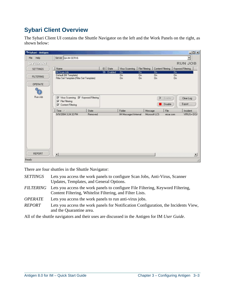### <span id="page-14-0"></span>**Sybari Client Overview**

The Sybari Client UI contains the Shuttle Navigator on the left and the Work Panels on the right, as shown below:

| Sybari - Antigen |                                                                                   |         |            |                                    |                        |                                     |                   | $ \Box$ $\times$                    |
|------------------|-----------------------------------------------------------------------------------|---------|------------|------------------------------------|------------------------|-------------------------------------|-------------------|-------------------------------------|
| File Help        | Server QA-IM-SERV6                                                                |         |            |                                    |                        |                                     |                   | $\blacksquare$                      |
| SYBARI           |                                                                                   |         |            |                                    |                        |                                     |                   | <b>RUN JOB</b>                      |
| <b>SETTINGS</b>  | Name                                                                              |         | $ID$ State | Virus Scanning                     |                        | File Filtering                      | Content Filtering | Keyword Filtering                   |
| <b>FILTERING</b> | IM Scan Job<br>Default (IM Template)<br>Filter Set Template (Filter Set Template) |         | 36 Enabled | <b>On</b><br>On.<br>O <sub>n</sub> | <b>On</b><br><b>On</b> | <b>On</b><br><b>On</b><br><b>On</b> |                   | <b>On</b><br><b>On</b><br><b>On</b> |
| OPERATE          |                                                                                   |         |            |                                    |                        |                                     |                   |                                     |
|                  |                                                                                   |         |            |                                    |                        |                                     |                   |                                     |
| Run Job          | Virus Scanning V Keyword Filtering<br>$\nabla$ File Filtering                     |         |            |                                    |                        |                                     | Þ.<br>Enable      | Clear Log                           |
|                  | Content Filtering                                                                 |         |            |                                    |                        |                                     | Disable           | Export                              |
|                  | Time /                                                                            | State   |            | Folder                             |                        | Message                             | File              | Incident                            |
|                  | 9/9/2004 3:24:32 PM                                                               | Removed |            | IM Messages\Internal               |                        | Microsoft LCS                       | eicar.com         | VIRUS=EICA                          |
|                  |                                                                                   |         |            |                                    |                        |                                     |                   |                                     |
| <b>REPORT</b>    | $\lvert \cdot \rvert$                                                             |         |            |                                    |                        |                                     |                   | $\blacktriangleright$               |
| Ready            |                                                                                   |         |            |                                    |                        |                                     |                   |                                     |

There are four shuttles in the Shuttle Navigator:

- *SETTINGS* Lets you access the work panels to configure Scan Jobs, Anti-Virus, Scanner Updates, Templates, and General Options.
- *FILTERING* Lets you access the work panels to configure File Filtering, Keyword Filtering, Content Filtering, Whitelist Filtering, and Filter Lists.
- *OPERATE* Lets you access the work panels to run anti-virus jobs.
- *REPORT* Lets you access the work panels for Notification Configuration, the Incidents View, and the Quarantine area.

All of the shuttle navigators and their uses are discussed in the Antigen for IM *User Guide*.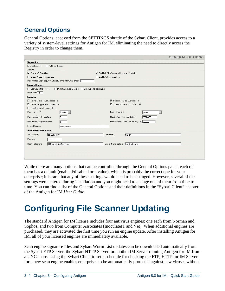### <span id="page-15-0"></span>**General Options**

General Options, accessed from the SETTINGS shuttle of the Sybari Client, provides access to a variety of system-level settings for Antigen for IM, eliminating the need to directly access the Registry in order to change them.

|                                                                                 |                                                        | <b>GENERAL OPTIONS</b> |
|---------------------------------------------------------------------------------|--------------------------------------------------------|------------------------|
| <b>Diagnostics</b>                                                              |                                                        |                        |
| Additional IM<br>Notify on Startup                                              |                                                        |                        |
| Logging                                                                         |                                                        |                        |
| <b>▽</b> Enable NT Event Log                                                    | $\nabla$ Enable NT Performance Monitor and Statistics  |                        |
| <b>▽</b> Enable Antigen Program Log                                             | Enable Antigen Virus Log                               |                        |
| Max Program Log Size [0=No Limit;512 is the minimum] (KBytes): 0                |                                                        |                        |
| <b>Scanner Updates</b>                                                          |                                                        |                        |
| Use Winlnet for HTTP<br>F Perform Updates at Startup F Send Update Notification |                                                        |                        |
| HTTP Port: 80                                                                   |                                                        |                        |
| <b>Scanning</b>                                                                 |                                                        |                        |
| Delete Corrupted Compressed Files                                               | <b>▽</b> Delete Corrupted Uuencode Files               |                        |
| Delete Encrypted Compressed Files                                               | □ Scan Doc Files as Containers - IM                    |                        |
| □ Case Sensitive Keyword Filtering                                              |                                                        |                        |
| Enable Antigen*:<br>Enable <b>v</b>                                             | Engine Error Action:<br>Ignore<br>$\blacktriangledown$ |                        |
| Max Container File Infections:<br>15                                            | Max Container File Size (bytes):<br>26214400           |                        |
| Max Nested Compressed Files:<br>15                                              | Max Container Scan Time (msecs) - IM: 600000           |                        |
| Internal Address:<br>qa-im-ps.com                                               |                                                        |                        |
| <b>SMTP Notification Server</b>                                                 |                                                        |                        |
| SMTP Server:<br>ga-im2k3-serv1                                                  | Username:<br>  master                                  |                        |
| Password:<br><b>xxxxxxxxxxx</b>                                                 |                                                        |                        |
| Reply To (optional):<br>IMAdministrator@usa.com                                 | Display Name (optional): MAdministrator                |                        |
|                                                                                 |                                                        |                        |
|                                                                                 |                                                        |                        |
|                                                                                 |                                                        |                        |
|                                                                                 |                                                        |                        |

While there are many options that can be controlled through the General Options panel, each of them has a default (enabled/disabled or a value), which is probably the correct one for your enterprise; it is rare that any of these settings would need to be changed. However, several of the settings were entered during installation and you might need to change one of them from time to time. You can find a list of the General Options and their definitions in the "Sybari Client" chapter of the Antigen for IM *User Guide*.

# **Configuring File Scanner Updating**

The standard Antigen for IM license includes four antivirus engines: one each from Norman and Sophos, and two from Computer Associates (InoculateIT and Vet). When additional engines are purchased, they are activated the first time you run an engine update. After installing Antigen for IM, all of your licensed engines are immediately available.

Scan engine signature files and Sybari Worm List updates can be downloaded automatically from the Sybari FTP Server, the Sybari HTTP Server, or another IM Server running Antigen for IM from a UNC share. Using the Sybari Client to set a schedule for checking the FTP, HTTP, or IM Server for a new scan engine enables enterprises to be automatically protected against new viruses without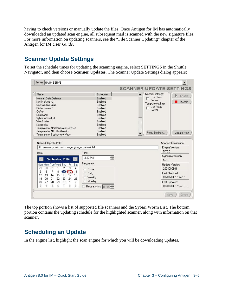<span id="page-16-0"></span>having to check versions or manually update the files. Once Antigen for IM has automatically downloaded an updated scan engine, all subsequent mail is scanned with the new signature files. For more information on updating scanners, see the "File Scanner Updating" chapter of the Antigen for IM *User Guide*.

### **Scanner Update Settings**

To set the schedule times for updating the scanning engine, select SETTINGS in the Shuttle Navigator, and then choose **Scanner Updates**. The Scanner Update Settings dialog appears:



The top portion shows a list of supported file scanners and the Sybari Worm List. The bottom portion contains the updating schedule for the highlighted scanner, along with information on that scanner.

### **Scheduling an Update**

In the engine list, highlight the scan engine for which you will be downloading updates.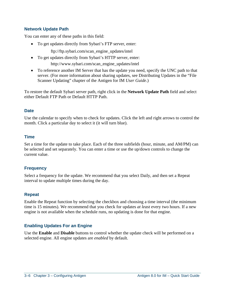#### <span id="page-17-0"></span>**Network Update Path**

You can enter any of these paths in this field:

• To get updates directly from Sybari's FTP server, enter:

ftp://ftp.sybari.com/scan\_engine\_updates/intel

- To get updates directly from Sybari's HTTP server, enter: http://www.sybari.com/scan\_engine\_updates/intel
- To reference another IM Server that has the update you need, specify the UNC path to that server. (For more information about sharing updates, see Distributing Updates in the "File Scanner Updating" chapter of the Antigen for IM *User Guide*.)

To restore the default Sybari server path, right click in the **Network Update Path** field and select either Default FTP Path or Default HTTP Path.

#### **Date**

Use the calendar to specify when to check for updates. Click the left and right arrows to control the month. Click a particular day to select it (it will turn blue).

#### **Time**

Set a time for the update to take place. Each of the three subfields (hour, minute, and AM/PM) can be selected and set separately. You can enter a time or use the up/down controls to change the current value.

#### **Frequency**

Select a frequency for the update. We recommend that you select Daily, and then set a Repeat interval to update multiple times during the day.

#### **Repeat**

Enable the Repeat function by selecting the checkbox and choosing a time interval (the minimum time is 15 minutes). We recommend that you check for updates *at least* every two hours. If a new engine is not available when the schedule runs, no updating is done for that engine.

#### **Enabling Updates For an Engine**

Use the **Enable** and **Disable** buttons to control whether the update check will be performed on a selected engine. All engine updates are *enabled* by default.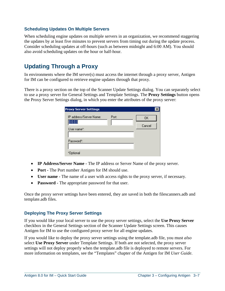#### <span id="page-18-0"></span>**Scheduling Updates On Multiple Servers**

When scheduling engine updates on multiple servers in an organization, we recommend staggering the updates by at least five minutes to prevent servers from timing out during the update process. Consider scheduling updates at off-hours (such as between midnight and 6:00 AM). You should also avoid scheduling updates on the hour or half-hour.

### **Updating Through a Proxy**

In environments where the IM server(s) must access the internet through a proxy server, Antigen for IM can be configured to retrieve engine updates through that proxy.

There is a proxy section on the top of the Scanner Update Settings dialog. You can separately select to use a proxy server for General Settings and Template Settings. The **Proxy Settings** button opens the Proxy Server Settings dialog, in which you enter the attributes of the proxy server:

| <b>Proxy Server Settings</b>       |       |              |
|------------------------------------|-------|--------------|
| IP address/Server Name:<br>0.0.0.0 | Port: | OΚ<br>Cancel |
| User name":                        |       |              |
| Password*:                         |       |              |
| *Optional                          |       |              |

- **IP Address/Server Name** The IP address or Server Name of the proxy server.
- **Port The Port number Antigen for IM should use.**
- **User name** The name of a user with access rights to the proxy server, if necessary.
- **Password** The appropriate password for that user.

Once the proxy server settings have been entered, they are saved in both the filescanners.adb and template.adb files.

#### **Deploying The Proxy Server Settings**

If you would like your local server to use the proxy server settings, select the **Use Proxy Server** checkbox in the General Settings section of the Scanner Update Settings screen. This causes Antigen for IM to use the configured proxy server for all engine updates.

If you would like to deploy the proxy server settings using the template.adb file, you must *also* select **Use Proxy Server** under Template Settings. If both are not selected, the proxy server settings will not deploy properly when the template.adb file is deployed to remote servers. For more information on templates, see the "Templates" chapter of the Antigen for IM *User Guide*.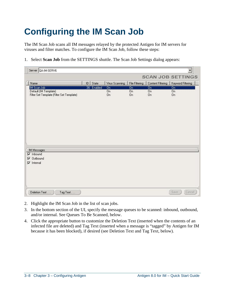# <span id="page-19-0"></span>**Configuring the IM Scan Job**

The IM Scan Job scans all IM messages relayed by the protected Antigen for IM servers for viruses and filter matches. To configure the IM Scan Job, follow these steps:

1. Select **Scan Job** from the SETTINGS shuttle. The Scan Job Settings dialog appears:

| Server QA-IM-SERV6                                                                |             |                            |                                         |                              | ÷                        |
|-----------------------------------------------------------------------------------|-------------|----------------------------|-----------------------------------------|------------------------------|--------------------------|
|                                                                                   |             |                            |                                         |                              | <b>SCAN JOB SETTINGS</b> |
| Name                                                                              | State<br> D | Virus Scanning             | File Filtering                          | Content Filtering            | Keyword Filtering        |
| IM Scan Job<br>Default (IM Template)<br>Filter Set Template (Filter Set Template) | 36 Enabled  | Ön<br>0 <sub>n</sub><br>On | $\overline{0n}$<br>0 <sub>n</sub><br>On | Ön<br><b>On</b><br><b>On</b> | Ön<br>On<br><b>On</b>    |
| IM Messages<br>$\nabla$ Inbound<br>Outbound<br>⊽<br>Internal<br>⊽                 |             |                            |                                         |                              |                          |
| Deletion Text<br>Tag Text                                                         |             |                            |                                         |                              | Cancel<br>Save:          |

- 2. Highlight the IM Scan Job in the list of scan jobs.
- 3. In the bottom section of the UI, specify the message queues to be scanned: inbound, outbound, and/or internal. See Queues To Be Scanned, below.
- 4. Click the appropriate button to customize the Deletion Text (inserted when the contents of an infected file are deleted) and Tag Text (inserted when a message is "tagged" by Antigen for IM because it has been blocked), if desired (see Deletion Text and Tag Text, below).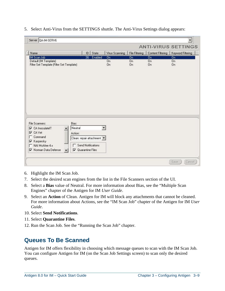| Server QA-IM-SERV6                                                 |                           |                             |                             |                   | ۳                           |
|--------------------------------------------------------------------|---------------------------|-----------------------------|-----------------------------|-------------------|-----------------------------|
|                                                                    |                           |                             |                             |                   | <b>ANTI-VIRUS SETTINGS</b>  |
| Name                                                               | State<br>ID               | Virus Scanning              | File Filtering              | Content Filtering | Keyword Filtering           |
| <b>IM Scan Job</b>                                                 | 36 Enabled                | <b>On</b>                   | Ön                          | <b>On</b>         | Ön                          |
| Default (IM Template)<br>Filter Set Template (Filter Set Template) |                           | 0 <sub>n</sub><br><b>On</b> | 0 <sub>n</sub><br><b>On</b> | 0n<br>On.         | 0 <sub>n</sub><br><b>On</b> |
|                                                                    |                           |                             |                             |                   |                             |
|                                                                    |                           |                             |                             |                   |                             |
|                                                                    |                           |                             |                             |                   |                             |
|                                                                    |                           |                             |                             |                   |                             |
|                                                                    |                           |                             |                             |                   |                             |
|                                                                    |                           |                             |                             |                   |                             |
|                                                                    |                           |                             |                             |                   |                             |
|                                                                    |                           |                             |                             |                   |                             |
|                                                                    |                           |                             |                             |                   |                             |
|                                                                    |                           |                             |                             |                   |                             |
|                                                                    |                           |                             |                             |                   |                             |
|                                                                    |                           |                             |                             |                   |                             |
|                                                                    |                           |                             |                             |                   |                             |
|                                                                    |                           |                             |                             |                   |                             |
| Bias:                                                              |                           | ▼                           |                             |                   |                             |
| Neutral<br>CA InoculateIT                                          |                           |                             |                             |                   |                             |
| Action:<br>Command                                                 |                           |                             |                             |                   |                             |
| File Scanners:<br>⊽<br>$\nabla$ CA Vet                             | Clean: repair attachment  |                             |                             |                   |                             |
| Kaspersky<br>⊽<br>NAI McAfee 4.x                                   | Send Notifications        |                             |                             |                   |                             |
| <b>▽</b> Norman Data Defense<br>$\overline{\phantom{a}}$           | $\nabla$ Quarantine Files |                             |                             |                   |                             |

#### <span id="page-20-0"></span>5. Select Anti-Virus from the SETTINGS shuttle. The Anti-Virus Settings dialog appears:

- 6. Highlight the IM Scan Job.
- 7. Select the desired scan engines from the list in the File Scanners section of the UI.
- 8. Select a **Bias** value of Neutral. For more information about Bias, see the "Multiple Scan Engines" chapter of the Antigen for IM *User Guide*.
- 9. Select an **Action** of Clean. Antigen for IM will block any attachments that cannot be cleaned. For more information about Actions, see the "IM Scan Job" chapter of the Antigen for IM *User Guide*.
- 10. Select **Send Notifications**.
- 11. Select **Quarantine Files**.
- 12. Run the Scan Job. See the "Running the Scan Job" chapter.

### **Queues To Be Scanned**

Antigen for IM offers flexibility in choosing which message queues to scan with the IM Scan Job. You can configure Antigen for IM (on the Scan Job Settings screen) to scan only the desired queues.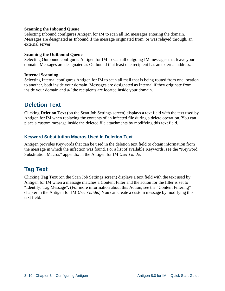#### <span id="page-21-0"></span>**Scanning the Inbound Queue**

Selecting Inbound configures Antigen for IM to scan all IM messages entering the domain. Messages are designated as Inbound if the message originated from, or was relayed through, an external server.

#### **Scanning the Outbound Queue**

Selecting Outbound configures Antigen for IM to scan all outgoing IM messages that leave your domain. Messages are designated as Outbound if at least one recipient has an external address.

#### **Internal Scanning**

Selecting Internal configures Antigen for IM to scan all mail that is being routed from one location to another, both inside your domain. Messages are designated as Internal if they originate from inside your domain and *all* the recipients are located inside your domain.

### **Deletion Text**

Clicking **Deletion Text** (on the Scan Job Settings screen) displays a text field with the text used by Antigen for IM when replacing the contents of an infected file during a delete operation. You can place a custom message inside the deleted file attachments by modifying this text field.

#### **Keyword Substitution Macros Used In Deletion Text**

Antigen provides Keywords that can be used in the deletion text field to obtain information from the message in which the infection was found. For a list of available Keywords, see the "Keyword Substitution Macros" appendix in the Antigen for IM *User Guide*.

### **Tag Text**

Clicking **Tag Text** (on the Scan Job Settings screen) displays a text field with the text used by Antigen for IM when a message matches a Content Filter and the action for the filter is set to "Identify: Tag Message". (For more information about this Action, see the "Content Filtering" chapter in the Antigen for IM *User Guide*.) You can create a custom message by modifying this text field.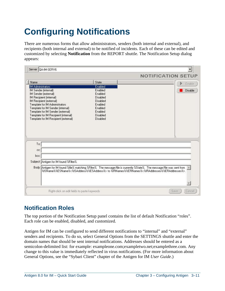# <span id="page-22-0"></span>**Configuring Notifications**

There are numerous forms that allow administrators, senders (both internal and external), and recipients (both internal and external) to be notified of incidents. Each of these can be edited and customized by selecting **Notification** from the REPORT shuttle. The Notification Setup dialog appears:

|                                                                        |                                                                                                                                                                                                                           | <b>NOTIFICATION SETUP</b> |
|------------------------------------------------------------------------|---------------------------------------------------------------------------------------------------------------------------------------------------------------------------------------------------------------------------|---------------------------|
| Name                                                                   | State                                                                                                                                                                                                                     | Enable                    |
| IM Administrators                                                      | Enabled                                                                                                                                                                                                                   |                           |
| IM Sender (internal)                                                   | Enabled                                                                                                                                                                                                                   | Disable                   |
| IM Sender (external)                                                   | Enabled                                                                                                                                                                                                                   |                           |
| IM Recipient (internal)                                                | Disabled                                                                                                                                                                                                                  |                           |
| IM Recipient (external)                                                | Disabled                                                                                                                                                                                                                  |                           |
| Template for IM Administrators                                         | Enabled                                                                                                                                                                                                                   |                           |
| Template for IM Sender (internal)<br>Template for IM Sender (external) | Enabled<br>Enabled                                                                                                                                                                                                        |                           |
| Template for IM Recipient (internal)                                   | Disabled                                                                                                                                                                                                                  |                           |
| Template for IM Recipient (external)                                   | Disabled                                                                                                                                                                                                                  |                           |
|                                                                        |                                                                                                                                                                                                                           |                           |
|                                                                        |                                                                                                                                                                                                                           |                           |
|                                                                        |                                                                                                                                                                                                                           |                           |
|                                                                        |                                                                                                                                                                                                                           |                           |
|                                                                        |                                                                                                                                                                                                                           |                           |
|                                                                        |                                                                                                                                                                                                                           |                           |
|                                                                        |                                                                                                                                                                                                                           |                           |
| To:                                                                    |                                                                                                                                                                                                                           |                           |
| CC:                                                                    |                                                                                                                                                                                                                           |                           |
|                                                                        |                                                                                                                                                                                                                           |                           |
| bcc:                                                                   |                                                                                                                                                                                                                           |                           |
|                                                                        |                                                                                                                                                                                                                           |                           |
| Subject: Antigen for IM found %Filter%.                                | Body: Antigen for IM found %file% matching %Filter%. The message/file is currently %State%. The message/file was sent from<br>. 2/SName%%ESName%<%ISAddress%%ESAddress%> to %IRNames%%ERNames%<%IRAddresses%%ERAddresses% |                           |
|                                                                        |                                                                                                                                                                                                                           |                           |
|                                                                        |                                                                                                                                                                                                                           |                           |
|                                                                        |                                                                                                                                                                                                                           |                           |
| Right-click on edit fields to paste keywords                           |                                                                                                                                                                                                                           | Cancel<br>Save            |

### **Notification Roles**

The top portion of the Notification Setup panel contains the list of default Notification "roles". Each role can be enabled, disabled, and customized.

Antigen for IM can be configured to send different notifications to "internal" and "external" senders and recipients. To do so, select General Options from the SETTINGS shuttle and enter the domain names that should be sent internal notifications. Addresses should be entered as a semicolon-delimited list: for example: exampleone.com;exampletwo.net;examplethree.com. Any change to this value is immediately reflected in virus notifications. (For more information about General Options, see the "Sybari Client" chapter of the Antigen for IM *User Guide*.)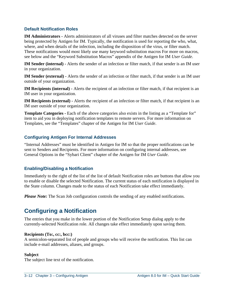#### <span id="page-23-0"></span>**Default Notification Roles**

**IM Administrators -** Alerts administrators of all viruses and filter matches detected on the server being protected by Antigen for IM. Typically, the notification is used for reporting the who, what, where, and when details of the infection, including the disposition of the virus, or filter match. These notifications would most likely use many keyword substitution macros For more on macros, see below and the "Keyword Substitution Macros" appendix of the Antigen for IM *User Guide*.

**IM Sender (internal) -** Alerts the sender of an infection or filter match, if that sender is an IM user in your organization.

**IM Sender (external) -** Alerts the sender of an infection or filter match, if that sender is an IM user outside of your organization.

**IM Recipients (internal) -** Alerts the recipient of an infection or filter match, if that recipient is an IM user in your organization.

**IM Recipients (external) -** Alerts the recipient of an infection or filter match, if that recipient is an IM user outside of your organization.

**Template Categories - Each of the above categories also exists in the listing as a "Template for"** item to aid you in deploying notification templates to remote servers. For more information on Templates, see the "Templates" chapter of the Antigen for IM *User Guide*.

#### **Configuring Antigen For Internal Addresses**

"Internal Addresses" must be identified in Antigen for IM so that the proper notifications can be sent to Senders and Recipients. For more information on configuring internal addresses, see General Options in the "Sybari Client" chapter of the Antigen for IM *User Guide*.

#### **Enabling/Disabling a Notification**

Immediately to the right of the list of the list of default Notification roles are buttons that allow you to enable or disable the selected Notification. The current status of each notification is displayed in the State column. Changes made to the status of each Notification take effect immediately.

*Please Note:* The Scan Job configuration controls the sending of any enabled notifications.

### **Configuring a Notification**

The entries that you make in the lower portion of the Notification Setup dialog apply to the currently-selected Notification role. All changes take effect immediately upon saving them.

#### **Recipients (To:, cc:, bcc:)**

A semicolon-separated list of people and groups who will receive the notification. This list can include e-mail addresses, aliases, and groups.

#### **Subject**

The subject line text of the notification.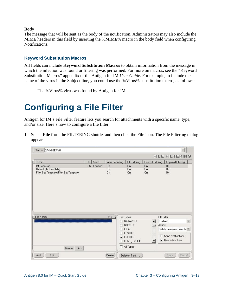#### <span id="page-24-0"></span>**Body**

The message that will be sent as the body of the notification. Administrators may also include the MIME headers in this field by inserting the %MIME% macro in the body field when configuring Notifications.

#### **Keyword Substitution Macros**

All fields can include **Keyword Substitution Macros** to obtain information from the message in which the infection was found or filtering was performed. For more on macros, see the "Keyword Substitution Macros" appendix of the Antigen for IM *User Guide*. For example, to include the name of the virus in the Subject line, you could use the %Virus% substitution macro, as follows:

The %Virus% virus was found by Antigen for IM.

### **Configuring a File Filter**

Antigen for IM's File Filter feature lets you search for attachments with a specific name, type, and/or size. Here's how to configure a file filter:

1. Select **File** from the FILTERING shuttle, and then click the File icon. The File Filtering dialog appears:

|                                           |    |         |                |                                |                      | ÷<br><b>FILE FILTERING</b>                      |
|-------------------------------------------|----|---------|----------------|--------------------------------|----------------------|-------------------------------------------------|
| Name                                      | ID | State   | Virus Scanning | File Filtering                 | Content Filtering    | Keyword Filtering                               |
| IM Scan Job                               | 36 | Enabled | <b>On</b>      | <b>On</b>                      | <b>On</b>            | <b>On</b>                                       |
| Default (IM Template)                     |    |         | <b>On</b>      | 0 <sub>n</sub>                 | 0 <sub>n</sub>       | <b>On</b>                                       |
| Filter Set Template (Filter Set Template) |    |         | <b>On</b>      | On.                            | <b>On</b>            | <b>On</b>                                       |
|                                           |    |         |                |                                |                      |                                                 |
|                                           |    |         |                |                                |                      |                                                 |
|                                           |    |         | 7.4            | File Types:                    |                      | File Filter:                                    |
|                                           |    |         |                | <b>DATAZFILE</b>               | $\ddot{\phantom{1}}$ | Enabled                                         |
| <b>File Names</b><br>××                   |    |         | ┍              | <b>DOCFILE</b><br><b>EICAR</b> |                      | Action:                                         |
|                                           |    |         |                | <b>EPSFILE</b>                 |                      |                                                 |
|                                           |    |         |                | <b>V</b> EXEFILE               |                      | Delete: remove contents<br>□ Send Notifications |
|                                           |    |         |                | FONT_TYPE1                     | $\overline{ }$       | $\nabla$ Quarantine Files                       |
| Lists<br>Names                            |    |         | п              | All Types                      |                      |                                                 |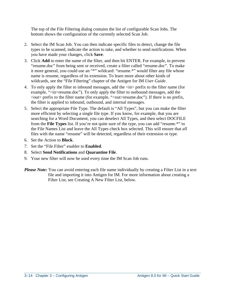The top of the File Filtering dialog contains the list of configurable Scan Jobs. The bottom shows the configuration of the currently selected Scan Job.

- 2. Select the IM Scan Job. You can then indicate specific files to detect, change the file types to be scanned, indicate the action to take, and whether to send notifications. When you have made your changes, click **Save**.
- 3. Click **Add** to enter the name of the filter, and then hit ENTER. For example, to prevent "resume.doc" from being sent or received, create a filter called "resume.doc". To make it more general, you could use an "\*" wildcard: "resume.\*" would filter any file whose name is resume, regardless of its extension. To learn more about other kinds of wildcards, see the "File Filtering" chapter of the Antigen for IM *User Guide*.
- 4. To only apply the filter to inbound messages, add the <in> prefix to the filter name (for example, "<in>resume.doc"). To only apply the filter to outbound messages, add the  $\langle \text{out} \rangle$  prefix to the filter name (for example, " $\langle \text{out} \rangle$ -resume.doc"). If there is no prefix, the filter is applied to inbound, outbound, and internal messages.
- 5. Select the appropriate File Type. The default is "All Types", but you can make the filter more efficient by selecting a single file type. If you know, for example, that you are searching for a Word Document, you can deselect All Types, and then select DOCFILE from the **File Types** list. If you're not quite sure of the type, you can add "resume.\*" to the File Names List and leave the All Types check box selected. This will ensure that *all* files with the name "resume" will be detected, regardless of their extension or type.
- 6. Set the Action to **Block**.
- 7. Set the "File Filter" enabler to **Enabled**.
- 8. Select **Send Notifications** and **Quarantine File**.
- 9. Your new filter will now be used every time the IM Scan Job runs.
- *Please Note:* You can avoid entering each file name individually by creating a Filter List in a text file and importing it into Antigen for IM. For more information about creating a Filter List, see Creating A New Filter List, below.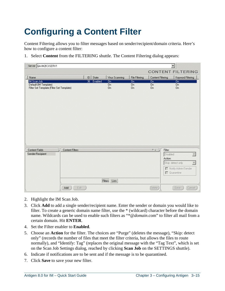# <span id="page-26-0"></span>**Configuring a Content Filter**

Content Filtering allows you to filter messages based on sender/recipient/domain criteria. Here's how to configure a content filter:

1. Select **Content** from the FILTERING shuttle. The Content Filtering dialog appears:

| Server QA-IM2K3-SERV1                                                             |                        |                              |                              |                                     | ▼                                                                         |
|-----------------------------------------------------------------------------------|------------------------|------------------------------|------------------------------|-------------------------------------|---------------------------------------------------------------------------|
|                                                                                   |                        |                              |                              |                                     | <b>CONTENT FILTERING</b>                                                  |
| Name                                                                              | ID<br>State            | Virus Scanning               | File Filtering               | Content Filtering                   | Keyword Filtering                                                         |
| IM Scan Job<br>Default (IM Template)<br>Filter Set Template (Filter Set Template) | 36<br>Enabled          | Ön<br><b>On</b><br><b>On</b> | Ön<br><b>On</b><br><b>On</b> | <b>On</b><br><b>On</b><br><b>On</b> | <b>On</b><br>$\overline{0n}$<br><b>On</b>                                 |
| Content Fields<br>Sender-Recipient                                                | <b>Content Filters</b> | Filters Lists                |                              | $7 +$<br>Filter:<br>Action:         | Disabled<br>Skip: detect only<br>Notify Admin/Sender<br>$\Box$ Quarantine |
| Add                                                                               | Edit                   |                              |                              | Delete                              | Save<br>Cancel                                                            |

- 2. Highlight the IM Scan Job.
- 3. Click **Add** to add a single sender/recipient name. Enter the sender or domain you would like to filter. To create a generic domain name filter, use the \* (wildcard) character before the domain name. Wildcards can be used to enable such filters as "\*@*domain*.com" to filter all mail from a certain domain. Hit **ENTER**.
- 4. Set the Filter enabler to **Enabled**.
- 5. Choose an **Action** for the filter. The choices are "Purge" (deletes the message), "Skip: detect only" (records the number of files that meet the filter criteria, but allows the files to route normally), and "Identify: Tag" (replaces the original message with the "Tag Text", which is set on the Scan Job Settings dialog, reached by clicking **Scan Job** on the SETTINGS shuttle).
- 6. Indicate if notifications are to be sent and if the message is to be quarantined.
- 7. Click **Save** to save your new filter.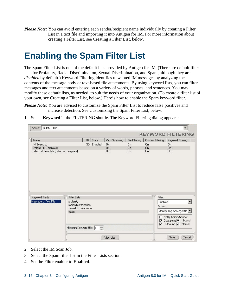<span id="page-27-0"></span>*Please Note:* You can avoid entering each sender/recipient name individually by creating a Filter List in a text file and importing it into Antigen for IM. For more information about creating a Filter List, see Creating a Filter List, below.

### **Enabling the Spam Filter List**

The Spam Filter List is one of the default lists provided by Antigen for IM. (There are default filter lists for Profanity, Racial Discrimination, Sexual Discrimination, and Spam, although they are *disabled* by default.) Keyword Filtering identifies unwanted IM messages by analyzing the contents of the message body or text-based file attachments. By using keyword lists, you can filter messages and text attachments based on a variety of words, phrases, and sentences. You may modify these default lists, as needed, to suit the needs of your organization. (To create a filter list of your own, see Creating a Filter List, below.) Here's how to enable the Spam keyword filter.

*Please Note:* You are advised to customize the Spam Filter List to reduce false positives and increase detection. See Customizing the Spam Filter List, below.

| Name                                                               | State<br> D             | Virus Scanning | File Filtering | Content Filtering | Keyword Filtering                                                                          |
|--------------------------------------------------------------------|-------------------------|----------------|----------------|-------------------|--------------------------------------------------------------------------------------------|
| IM Scan Job                                                        | 36 Enabled              | 0 <sub>n</sub> | On:            | <b>On</b>         | <b>On</b>                                                                                  |
| Default (IM Template)<br>Filter Set Template (Filter Set Template) |                         | <b>On</b>      | 0n             | <b>On</b>         | <b>On</b>                                                                                  |
|                                                                    |                         |                |                |                   |                                                                                            |
|                                                                    |                         |                |                |                   |                                                                                            |
|                                                                    | <b>Filter Lists</b>     |                |                |                   | Filter:                                                                                    |
| profanity                                                          | racial discrimination   |                |                |                   | Enabled                                                                                    |
| Keyword Fields<br>Message or Text File                             | sexual discrimination   |                |                |                   | Action:                                                                                    |
| spam                                                               |                         |                |                |                   | Identify: tag message/file                                                                 |
|                                                                    | Minimum Keyword Hits: 1 | ݮ              |                |                   | Notify Admin/Sender<br>n.<br>□ Quarantine D Inbound<br>$\nabla$ Outbound $\nabla$ Internal |

1. Select **Keyword** in the FILTERING shuttle. The Keyword Filtering dialog appears:

- 2. Select the IM Scan Job.
- 3. Select the Spam filter list in the Filter Lists section.
- 4. Set the Filter enabler to **Enabled**.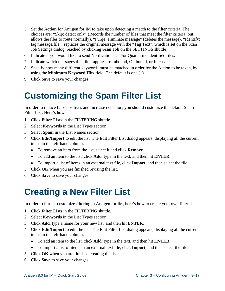- <span id="page-28-0"></span>5. Set the **Action** for Antigen for IM to take upon detecting a match to the filter criteria. The choices are: "Skip: detect only" (Records the number of files that meet the filter criteria, but allows the files to route normally), "Purge: eliminate message" (deletes the message), "Identify: tag message/file" (replaces the original message with the "Tag Text", which is set on the Scan Job Settings dialog, reached by clicking **Scan Job** on the SETTINGS shuttle).
- 6. Indicate if you would like to send Notifications and/or Quarantine identified files.
- 7. Indicate which messages this filter applies to: Inbound, Outbound, or Internal.
- 8. Specify how many different keywords must be matched in order for the Action to be taken, by using the **Minimum Keyword Hits** field. The default is one (1).
- 9. Click **Save** to save your changes.

### **Customizing the Spam Filter List**

In order to reduce false positives and increase detection, you should customize the default Spam Filter List. Here's how:

- 1. Click **Filter Lists** in the FILTERING shuttle.
- 2. Select **Keywords** in the List Types section.
- 3. Select **Spam** in the List Names section.
- 4. Click **Edit/Import** to edit the list. The Edit Filter List dialog appears, displaying all the current items in the left-hand column.
	- To remove an item from the list, select it and click **Remove**.
	- To add an item to the list, click **Add**, type in the text, and then hit **ENTER**.
	- To import a list of items in an external text file, click **Import**, and then select the file.
- 5. Click **OK** when you are finished revising the list.
- 6. Click **Save** to save your changes.

### **Creating a New Filter List**

In order to further customize filtering in Antigen for IM, here's how to create your own filter lists:

- 1. Click **Filter Lists** in the FILTERING shuttle.
- 2. Select **Keywords** in the List Types section.
- 3. Click **Add**, type a name for your new list, and then hit **ENTER**.
- 4. Click **Edit/Import** to edit the list. The Edit Filter List dialog appears, displaying all the current items in the left-hand column.
	- To add an item to the list, click **Add**, type in the text, and then hit **ENTER**.
	- To import a list of items in an external text file, click **Import**, and then select the file.
- 5. Click **OK** when you are finished creating the list.
- 6. Click **Save** to save your changes.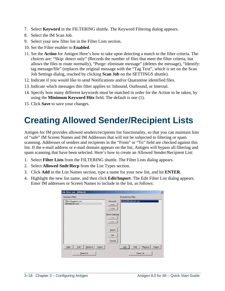- <span id="page-29-0"></span>7. Select **Keyword** in the FILTERING shuttle. The Keyword Filtering dialog appears.
- 8. Select the IM Scan Job.
- 9. Select your new filter list in the Filter Lists section.
- 10. Set the Filter enabler to **Enabled**.
- 11. Set the **Action** for Antigen Here's how to take upon detecting a match to the filter criteria. The choices are: "Skip: detect only" (Records the number of files that meet the filter criteria, but allows the files to route normally), "Purge: eliminate message" (deletes the message), "Identify: tag message/file" (replaces the original message with the "Tag Text", which is set on the Scan Job Settings dialog, reached by clicking **Scan Job** on the SETTINGS shuttle).
- 12. Indicate if you would like to send Notifications and/or Quarantine identified files.
- 13. Indicate which messages this filter applies to: Inbound, Outbound, or Internal.
- 14. Specify how many different keywords must be matched in order for the Action to be taken, by using the **Minimum Keyword Hits** field. The default is one (1).
- 15. Click **Save** to save your changes.

## **Creating Allowed Sender/Recipient Lists**

Antigen for IM provides allowed senders/recipients list functionality, so that you can maintain lists of "safe" IM Screen Names and IM Addresses that will not be subjected to filtering or spam scanning. Addresses of senders and recipients in the "From" or "To" field are checked against this list. If the e-mail address or e-mail domain appears on the list, Antigen will bypass all filtering and spam scanning that have been selected. Here's how to create an Allowed Sender/Recipient List:

- 1. Select **Filter Lists** from the FILTERING shuttle. The Filter Lists dialog appears.
- 2. Select **Allowed Sndr/Recp** from the List Types section.
- 3. Click **Add** in the List Names section, type a name for your new list, and hit **ENTER**.
- 4. Highlight the new list name, and then click **Edit/Import**. The Edit Filter List dialog appears. Enter IM addresses or Screen Names to include in the list, as follows:

| Edit Filter List - [Whitet]            |                                                    |                                 | $\overline{\mathbf{x}}$ |
|----------------------------------------|----------------------------------------------------|---------------------------------|-------------------------|
| Include in Filter:                     |                                                    | Exclude from Filter:            |                         |
| "@fershlugginer.com<br>"@freebizak.com | Move All<br>$\Rightarrow$<br>$\leq$ = = =          | herbie@freebizak.com            |                         |
|                                        | Move Selected<br>$\rightarrow$<br>$\langle \cdots$ |                                 |                         |
|                                        | Import<br>0K<br>Cancel                             |                                 |                         |
| Edit<br>Export<br>Add<br>Remove        |                                                    | Edit<br>Remove<br>Export<br>Add |                         |
| Clear List                             |                                                    | Clear List                      |                         |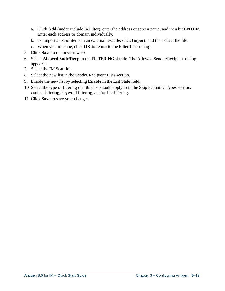- a. Click **Add** (under Include In Filter), enter the address or screen name, and then hit **ENTER**. Enter each address or domain individually.
- b. To import a list of items in an external text file, click **Import**, and then select the file.
- c. When you are done, click **OK** to return to the Filter Lists dialog.
- 5. Click **Save** to retain your work.
- 6. Select **Allowed Sndr/Recp** in the FILTERING shuttle. The Allowed Sender/Recipient dialog appears:
- 7. Select the IM Scan Job.
- 8. Select the new list in the Sender/Recipient Lists section.
- 9. Enable the new list by selecting **Enable** in the List State field.
- 10. Select the type of filtering that this list should apply to in the Skip Scanning Types section: content filtering, keyword filtering, and/or file filtering.
- 11. Click **Save** to save your changes.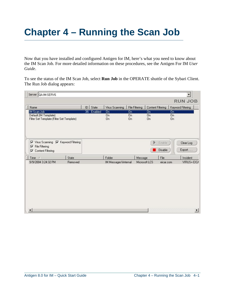# **Chapter 4 – Running the Scan Job**

Now that you have installed and configured Antigen for IM, here's what you need to know about the IM Scan Job. For more detailed information on these procedures, see the Antigen For IM *User Guide*.

To see the status of the IM Scan Job, select **Run Job** in the OPERATE shuttle of the Sybari Client. The Run Job dialog appears:

| Server QA-IM-SERV6                                                 |         |             |         |                      |                       |                       |                                        | <b>RUN JOB</b>         |
|--------------------------------------------------------------------|---------|-------------|---------|----------------------|-----------------------|-----------------------|----------------------------------------|------------------------|
|                                                                    |         |             |         |                      |                       |                       |                                        |                        |
| Name                                                               |         | ID<br>State |         | Virus Scanning       | File Filtering        |                       | Content Filtering<br>Keyword Filtering |                        |
| IM Scan Job                                                        |         | 36          | Enabled | Ön                   | Ön                    | Ön                    |                                        | Ön                     |
| Default (IM Template)<br>Filter Set Template (Filter Set Template) |         |             |         | On.<br><b>On</b>     | 0 <sub>n</sub><br>On. | 0 <sub>n</sub><br>On. |                                        | <b>On</b><br><b>On</b> |
|                                                                    |         |             |         |                      |                       |                       |                                        |                        |
| Virus Scanning V Keyword Filtering                                 |         |             |         |                      |                       | B.                    | Enable                                 | Clear Log              |
| File Filtering<br>⊽                                                |         |             |         |                      |                       |                       |                                        |                        |
| <b>Content Filtering</b><br>⊽                                      |         |             |         |                      |                       |                       | Disable                                | Export                 |
| Time /                                                             | State   |             |         | Folder               |                       | Message               | File                                   | Incident               |
| 9/9/2004 3:24:32 PM                                                | Removed |             |         | IM Messages\Internal |                       | Microsoft LCS         | eicar.com                              | VIRUS=EICA             |
|                                                                    |         |             |         |                      |                       |                       |                                        |                        |
|                                                                    |         |             |         |                      |                       |                       |                                        |                        |
|                                                                    |         |             |         |                      |                       |                       |                                        |                        |
|                                                                    |         |             |         |                      |                       |                       |                                        |                        |
|                                                                    |         |             |         |                      |                       |                       |                                        |                        |